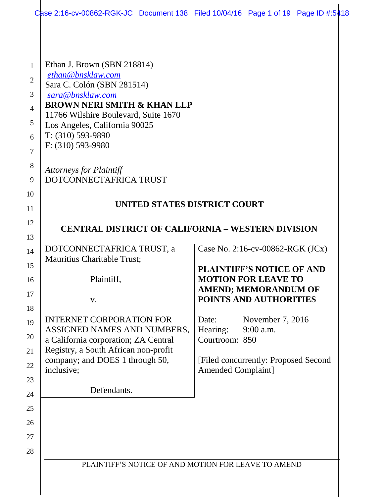|                                                      | Case 2:16-cv-00862-RGK-JC Document 138 Filed 10/04/16 Page 1 of 19 Page ID #:5418                                                                                                                                                            |                                                                  |                                                                                                                                                             |  |
|------------------------------------------------------|----------------------------------------------------------------------------------------------------------------------------------------------------------------------------------------------------------------------------------------------|------------------------------------------------------------------|-------------------------------------------------------------------------------------------------------------------------------------------------------------|--|
| 1<br>$\overline{2}$<br>3<br>$\overline{4}$<br>5<br>6 | Ethan J. Brown (SBN 218814)<br>ethan@bnsklaw.com<br>Sara C. Colón (SBN 281514)<br>sara@bnsklaw.com<br><b>BROWN NERI SMITH &amp; KHAN LLP</b><br>11766 Wilshire Boulevard, Suite 1670<br>Los Angeles, California 90025<br>$T: (310) 593-9890$ |                                                                  |                                                                                                                                                             |  |
| 7                                                    | F: (310) 593-9980                                                                                                                                                                                                                            |                                                                  |                                                                                                                                                             |  |
| 8<br>9                                               | <b>Attorneys for Plaintiff</b><br>DOTCONNECTAFRICA TRUST                                                                                                                                                                                     |                                                                  |                                                                                                                                                             |  |
| 10<br>11                                             | UNITED STATES DISTRICT COURT                                                                                                                                                                                                                 |                                                                  |                                                                                                                                                             |  |
| 12<br>13                                             | <b>CENTRAL DISTRICT OF CALIFORNIA – WESTERN DIVISION</b>                                                                                                                                                                                     |                                                                  |                                                                                                                                                             |  |
| 14<br>15<br>16<br>17<br>18                           | DOTCONNECTAFRICA TRUST, a<br>Mauritius Charitable Trust;<br>Plaintiff,<br>V.                                                                                                                                                                 |                                                                  | Case No. 2:16-cv-00862-RGK (JCx)<br><b>PLAINTIFF'S NOTICE OF AND</b><br><b>MOTION FOR LEAVE TO</b><br><b>AMEND; MEMORANDUM OF</b><br>POINTS AND AUTHORITIES |  |
| 19<br>20<br>22<br>23                                 | <b>INTERNET CORPORATION FOR</b><br>ASSIGNED NAMES AND NUMBERS,<br>a California corporation; ZA Central<br>Registry, a South African non-profit<br>company; and DOES 1 through 50,<br>inclusive;                                              | Date:<br>Hearing:<br>Courtroom: 850<br><b>Amended Complaint]</b> | November 7, 2016<br>$9:00$ a.m.<br>[Filed concurrently: Proposed Second]                                                                                    |  |
| 24<br>25<br>26                                       | Defendants.                                                                                                                                                                                                                                  |                                                                  |                                                                                                                                                             |  |
| 28                                                   | PLAINTIFF'S NOTICE OF AND MOTION FOR LEAVE TO AMEND                                                                                                                                                                                          |                                                                  |                                                                                                                                                             |  |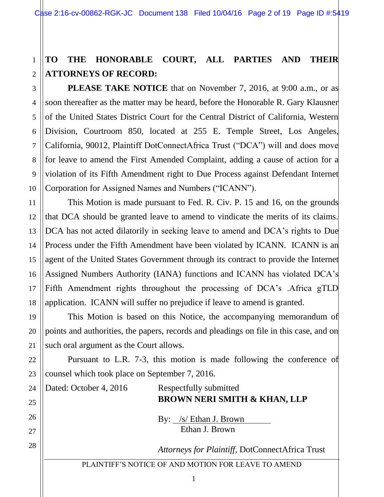# **TO THE HONORABLE COURT, ALL PARTIES AND THEIR ATTORNEYS OF RECORD:**

**PLEASE TAKE NOTICE** that on November 7, 2016, at 9:00 a.m., or as soon thereafter as the matter may be heard, before the Honorable R. Gary Klausner of the United States District Court for the Central District of California, Western Division, Courtroom 850, located at 255 E. Temple Street, Los Angeles, California, 90012, Plaintiff DotConnectAfrica Trust ("DCA") will and does move for leave to amend the First Amended Complaint, adding a cause of action for a violation of its Fifth Amendment right to Due Process against Defendant Internet Corporation for Assigned Names and Numbers ("ICANN").

This Motion is made pursuant to Fed. R. Civ. P. 15 and 16, on the grounds that DCA should be granted leave to amend to vindicate the merits of its claims. DCA has not acted dilatorily in seeking leave to amend and DCA's rights to Due Process under the Fifth Amendment have been violated by ICANN. ICANN is an agent of the United States Government through its contract to provide the Internet Assigned Numbers Authority (IANA) functions and ICANN has violated DCA's Fifth Amendment rights throughout the processing of DCA's .Africa gTLD application. ICANN will suffer no prejudice if leave to amend is granted.

This Motion is based on this Notice, the accompanying memorandum of points and authorities, the papers, records and pleadings on file in this case, and on such oral argument as the Court allows.

Pursuant to L.R. 7-3, this motion is made following the conference of counsel which took place on September 7, 2016.

Dated: October 4, 2016 Respectfully submitted **BROWN NERI SMITH & KHAN, LLP** By: /s/ Ethan J. Brown Ethan J. Brown *Attorneys for Plaintiff,* DotConnectAfrica Trust

PLAINTIFF'S NOTICE OF AND MOTION FOR LEAVE TO AMEND

1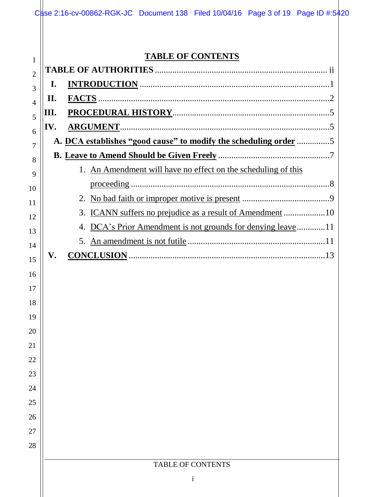| Case 2:16-cv-00862-RGK-JC Document 138 Filed 10/04/16 Page 3 of 19 Page ID #:5420 |  |  |
|-----------------------------------------------------------------------------------|--|--|

# **TABLE OF CONTENTS**

|     | <b>TABLE OF CONTENTS</b>                                         |
|-----|------------------------------------------------------------------|
|     |                                                                  |
| I.  |                                                                  |
| II. |                                                                  |
| Ш.  |                                                                  |
| IV. | <b>ARGUMENT</b>                                                  |
|     | A. DCA establishes "good cause" to modify the scheduling order 5 |
|     |                                                                  |
|     | 1. An Amendment will have no effect on the scheduling of this    |
|     |                                                                  |
|     |                                                                  |
|     | ICANN suffers no prejudice as a result of Amendment 10           |
|     | DCA's Prior Amendment is not grounds for denying leave 11        |
|     | 5.                                                               |
| V.  |                                                                  |
|     |                                                                  |
|     |                                                                  |
|     |                                                                  |
|     |                                                                  |
|     |                                                                  |
|     |                                                                  |
|     |                                                                  |
|     |                                                                  |
|     |                                                                  |
|     |                                                                  |
|     |                                                                  |
|     |                                                                  |
|     |                                                                  |
|     | <b>TABLE OF CONTENTS</b>                                         |
|     | i                                                                |
|     |                                                                  |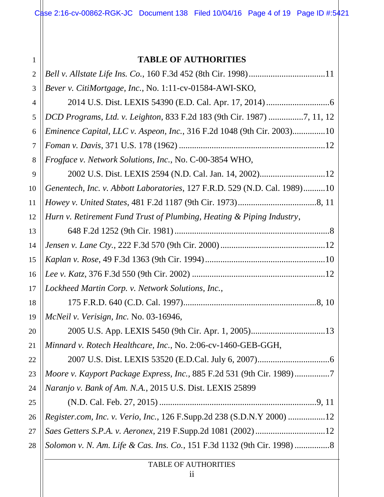Case 2:16-cv-00862-RGK-JC Document 138 Filed 10/04/16 Page 4 of 19 Page ID #:5421

### **TABLE OF AUTHORITIES**

| $\overline{2}$ |                                                                           |
|----------------|---------------------------------------------------------------------------|
| 3              | Bever v. CitiMortgage, Inc., No. 1:11-cv-01584-AWI-SKO,                   |
| 4              |                                                                           |
| 5              | DCD Programs, Ltd. v. Leighton, 833 F.2d 183 (9th Cir. 1987) 7, 11, 12    |
| 6              | Eminence Capital, LLC v. Aspeon, Inc., 316 F.2d 1048 (9th Cir. 2003)10    |
| 7              |                                                                           |
| 8              | Frogface v. Network Solutions, Inc., No. C-00-3854 WHO,                   |
| 9              |                                                                           |
| 10             | Genentech, Inc. v. Abbott Laboratories, 127 F.R.D. 529 (N.D. Cal. 1989)10 |
| 11             |                                                                           |
| 12             | Hurn v. Retirement Fund Trust of Plumbing, Heating & Piping Industry,     |
| 13             |                                                                           |
| 14             |                                                                           |
| 15             |                                                                           |
| 16             |                                                                           |
| 17             | Lockheed Martin Corp. v. Network Solutions, Inc.,                         |
| 18             |                                                                           |
| 19             | McNeil v. Verisign, Inc. No. 03-16946,                                    |
| 20             |                                                                           |
| 21             | Minnard v. Rotech Healthcare, Inc., No. 2:06-cv-1460-GEB-GGH,             |
| 22             |                                                                           |
| 23             | Moore v. Kayport Package Express, Inc., 885 F.2d 531 (9th Cir. 1989)7     |
| 24             | Naranjo v. Bank of Am. N.A., 2015 U.S. Dist. LEXIS 25899                  |
| 25             |                                                                           |
| 26             | Register.com, Inc. v. Verio, Inc., 126 F.Supp.2d 238 (S.D.N.Y 2000) 12    |
| 27             |                                                                           |
| 28             | Solomon v. N. Am. Life & Cas. Ins. Co., 151 F.3d 1132 (9th Cir. 1998) 8   |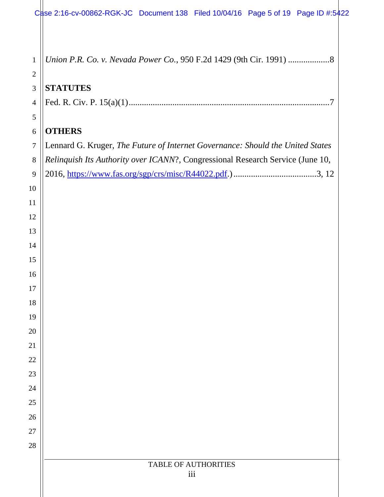|                | Case 2:16-cv-00862-RGK-JC Document 138 Filed 10/04/16 Page 5 of 19 Page ID #:5422 |
|----------------|-----------------------------------------------------------------------------------|
| $\mathbf{1}$   |                                                                                   |
| $\overline{2}$ |                                                                                   |
| $\mathfrak{Z}$ | <b>STATUTES</b>                                                                   |
| $\overline{4}$ |                                                                                   |
| 5              |                                                                                   |
| 6              | <b>OTHERS</b>                                                                     |
| $\tau$         | Lennard G. Kruger, The Future of Internet Governance: Should the United States    |
| $8\,$          | Relinquish Its Authority over ICANN?, Congressional Research Service (June 10,    |
| 9              |                                                                                   |
| 10             |                                                                                   |
| 11             |                                                                                   |
| 12             |                                                                                   |
| 13             |                                                                                   |
| 14             |                                                                                   |
| 15             |                                                                                   |
| 16             |                                                                                   |
| 17             |                                                                                   |
| 18<br>19       |                                                                                   |
| 20             |                                                                                   |
| 21             |                                                                                   |
| 22             |                                                                                   |
| 23             |                                                                                   |
| 24             |                                                                                   |
| 25             |                                                                                   |
| 26             |                                                                                   |
| 27             |                                                                                   |
| 28             |                                                                                   |
|                | <b>TABLE OF AUTHORITIES</b>                                                       |
|                | iii                                                                               |
|                |                                                                                   |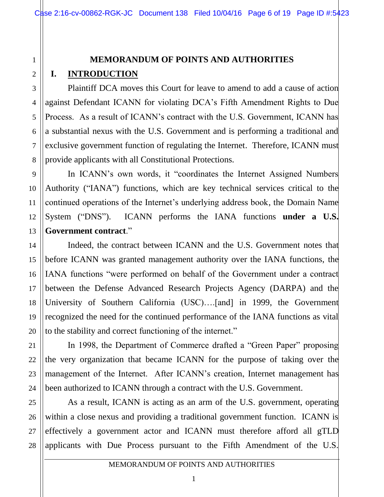# **MEMORANDUM OF POINTS AND AUTHORITIES I. INTRODUCTION**

Plaintiff DCA moves this Court for leave to amend to add a cause of action against Defendant ICANN for violating DCA's Fifth Amendment Rights to Due Process. As a result of ICANN's contract with the U.S. Government, ICANN has a substantial nexus with the U.S. Government and is performing a traditional and exclusive government function of regulating the Internet. Therefore, ICANN must provide applicants with all Constitutional Protections.

In ICANN's own words, it "coordinates the Internet Assigned Numbers Authority ("IANA") functions, which are key technical services critical to the continued operations of the Internet's underlying address book, the Domain Name System ("DNS"). ICANN performs the IANA functions **under a U.S. Government contract**."

Indeed, the contract between ICANN and the U.S. Government notes that before ICANN was granted management authority over the IANA functions, the IANA functions "were performed on behalf of the Government under a contract between the Defense Advanced Research Projects Agency (DARPA) and the University of Southern California (USC)….[and] in 1999, the Government recognized the need for the continued performance of the IANA functions as vital to the stability and correct functioning of the internet."

In 1998, the Department of Commerce drafted a "Green Paper" proposing the very organization that became ICANN for the purpose of taking over the management of the Internet. After ICANN's creation, Internet management has been authorized to ICANN through a contract with the U.S. Government.

As a result, ICANN is acting as an arm of the U.S. government, operating within a close nexus and providing a traditional government function. ICANN is effectively a government actor and ICANN must therefore afford all gTLD applicants with Due Process pursuant to the Fifth Amendment of the U.S.

1

2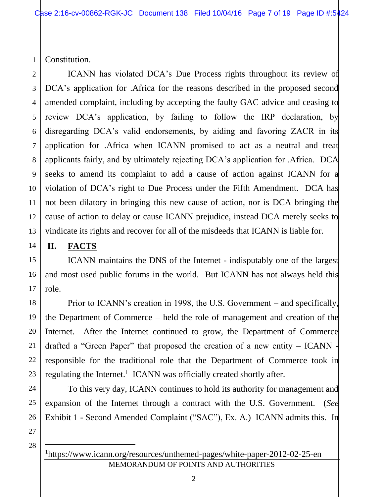1 Constitution.

2 3 4 5 6 7 8 9 10 11 12 13 ICANN has violated DCA's Due Process rights throughout its review of DCA's application for .Africa for the reasons described in the proposed second amended complaint, including by accepting the faulty GAC advice and ceasing to review DCA's application, by failing to follow the IRP declaration, by disregarding DCA's valid endorsements, by aiding and favoring ZACR in its application for .Africa when ICANN promised to act as a neutral and treat applicants fairly, and by ultimately rejecting DCA's application for .Africa. DCA seeks to amend its complaint to add a cause of action against ICANN for a violation of DCA's right to Due Process under the Fifth Amendment. DCA has not been dilatory in bringing this new cause of action, nor is DCA bringing the cause of action to delay or cause ICANN prejudice, instead DCA merely seeks to vindicate its rights and recover for all of the misdeeds that ICANN is liable for.

## **II. FACTS**

14

15

16

17

18

19

20

21

22

23

24

25

26

ICANN maintains the DNS of the Internet - indisputably one of the largest and most used public forums in the world. But ICANN has not always held this role.

Prior to ICANN's creation in 1998, the U.S. Government – and specifically, the Department of Commerce – held the role of management and creation of the Internet. After the Internet continued to grow, the Department of Commerce drafted a "Green Paper" that proposed the creation of a new entity – ICANN responsible for the traditional role that the Department of Commerce took in regulating the Internet.<sup>1</sup> ICANN was officially created shortly after.

To this very day, ICANN continues to hold its authority for management and expansion of the Internet through a contract with the U.S. Government. (*See*  Exhibit 1 - Second Amended Complaint ("SAC"), Ex. A.) ICANN admits this. In

27 28

 $\overline{a}$ 

MEMORANDUM OF POINTS AND AUTHORITIES <sup>1</sup>https://www.icann.org/resources/unthemed-pages/white-paper-2012-02-25-en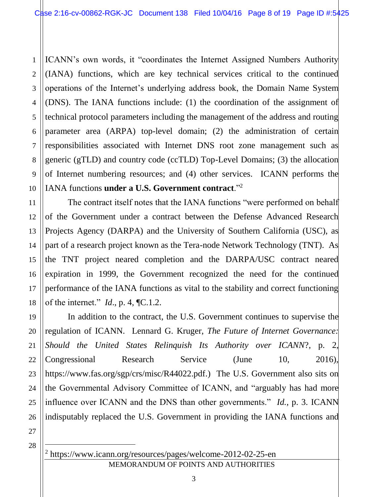ICANN's own words, it "coordinates the Internet Assigned Numbers Authority (IANA) functions, which are key technical services critical to the continued operations of the Internet's underlying address book, the Domain Name System (DNS). The IANA functions include: (1) the coordination of the assignment of technical protocol parameters including the management of the address and routing parameter area (ARPA) top-level domain; (2) the administration of certain responsibilities associated with Internet DNS root zone management such as generic (gTLD) and country code (ccTLD) Top-Level Domains; (3) the allocation of Internet numbering resources; and (4) other services. ICANN performs the IANA functions **under a U.S. Government contract**."<sup>2</sup>

14 The contract itself notes that the IANA functions "were performed on behalf of the Government under a contract between the Defense Advanced Research Projects Agency (DARPA) and the University of Southern California (USC), as part of a research project known as the Tera-node Network Technology (TNT). As the TNT project neared completion and the DARPA/USC contract neared expiration in 1999, the Government recognized the need for the continued performance of the IANA functions as vital to the stability and correct functioning of the internet." *Id*., p. 4, ¶C.1.2.

19 20 22 23 24 25 26 In addition to the contract, the U.S. Government continues to supervise the regulation of ICANN. Lennard G. Kruger, *The Future of Internet Governance: Should the United States Relinquish Its Authority over ICANN*?, p. 2, Congressional Research Service (June 10, 2016), https://www.fas.org/sgp/crs/misc/R44022.pdf.) The U.S. Government also sits on the Governmental Advisory Committee of ICANN, and "arguably has had more influence over ICANN and the DNS than other governments." *Id.*, p. 3. ICANN indisputably replaced the U.S. Government in providing the IANA functions and

27 28

 $\overline{a}$ 

1

2

3

4

5

6

7

8

9

10

11

12

13

15

16

17

18

MEMORANDUM OF POINTS AND AUTHORITIES <sup>2</sup> https://www.icann.org/resources/pages/welcome-2012-02-25-en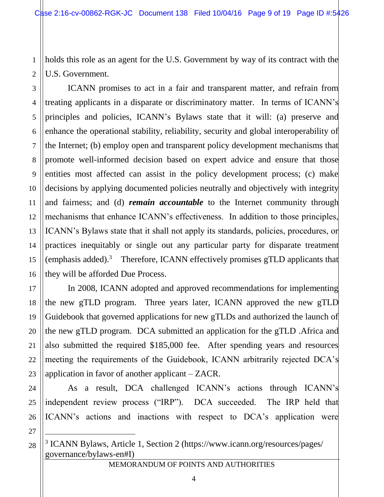1 2 holds this role as an agent for the U.S. Government by way of its contract with the U.S. Government.

3 16 ICANN promises to act in a fair and transparent matter, and refrain from treating applicants in a disparate or discriminatory matter. In terms of ICANN's principles and policies, ICANN's Bylaws state that it will: (a) preserve and enhance the operational stability, reliability, security and global interoperability of the Internet; (b) employ open and transparent policy development mechanisms that promote well-informed decision based on expert advice and ensure that those entities most affected can assist in the policy development process; (c) make decisions by applying documented policies neutrally and objectively with integrity and fairness; and (d) *remain accountable* to the Internet community through mechanisms that enhance ICANN's effectiveness. In addition to those principles, ICANN's Bylaws state that it shall not apply its standards, policies, procedures, or practices inequitably or single out any particular party for disparate treatment (emphasis added). 3 Therefore, ICANN effectively promises gTLD applicants that they will be afforded Due Process.

In 2008, ICANN adopted and approved recommendations for implementing the new gTLD program. Three years later, ICANN approved the new gTLD Guidebook that governed applications for new gTLDs and authorized the launch of the new gTLD program. DCA submitted an application for the gTLD .Africa and also submitted the required \$185,000 fee. After spending years and resources meeting the requirements of the Guidebook, ICANN arbitrarily rejected DCA's application in favor of another applicant – ZACR.

As a result, DCA challenged ICANN's actions through ICANN's independent review process ("IRP"). DCA succeeded. The IRP held that ICANN's actions and inactions with respect to DCA's application were

27 28

 $\overline{a}$ 

4

5

6

7

8

9

10

11

12

13

14

15

17

18

19

20

21

22

23

24

25

26

<sup>3</sup> ICANN Bylaws, Article 1, Section 2 (https://www.icann.org/resources/pages/ governance/bylaws-en#I)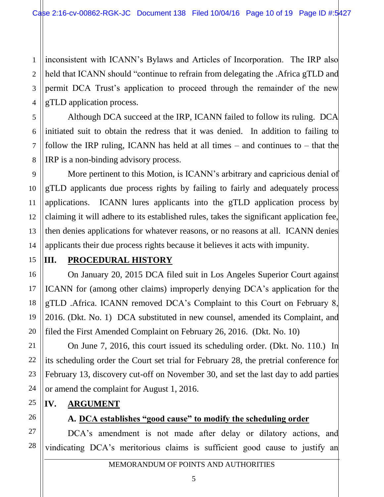1 2 3 4 inconsistent with ICANN's Bylaws and Articles of Incorporation. The IRP also held that ICANN should "continue to refrain from delegating the .Africa gTLD and permit DCA Trust's application to proceed through the remainder of the new gTLD application process.

Although DCA succeed at the IRP, ICANN failed to follow its ruling. DCA initiated suit to obtain the redress that it was denied. In addition to failing to follow the IRP ruling, ICANN has held at all times – and continues to – that the IRP is a non-binding advisory process.

More pertinent to this Motion, is ICANN's arbitrary and capricious denial of gTLD applicants due process rights by failing to fairly and adequately process applications. ICANN lures applicants into the gTLD application process by claiming it will adhere to its established rules, takes the significant application fee, then denies applications for whatever reasons, or no reasons at all. ICANN denies applicants their due process rights because it believes it acts with impunity.

# **III. PROCEDURAL HISTORY**

On January 20, 2015 DCA filed suit in Los Angeles Superior Court against ICANN for (among other claims) improperly denying DCA's application for the gTLD .Africa. ICANN removed DCA's Complaint to this Court on February 8, 2016. (Dkt. No. 1) DCA substituted in new counsel, amended its Complaint, and filed the First Amended Complaint on February 26, 2016. (Dkt. No. 10)

On June 7, 2016, this court issued its scheduling order. (Dkt. No. 110.) In its scheduling order the Court set trial for February 28, the pretrial conference for February 13, discovery cut-off on November 30, and set the last day to add parties or amend the complaint for August 1, 2016.

### **IV. ARGUMENT**

26

5

6

7

8

9

10

11

12

13

14

15

16

17

18

19

20

21

22

23

24

25

### **A. DCA establishes "good cause" to modify the scheduling order**

27 28 DCA's amendment is not made after delay or dilatory actions, and vindicating DCA's meritorious claims is sufficient good cause to justify an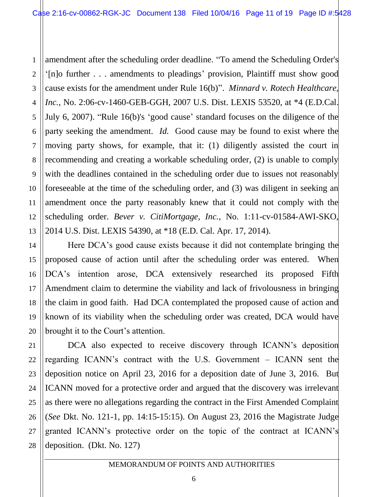1 2 3 4 amendment after the scheduling order deadline. "To amend the Scheduling Order's '[n]o further . . . amendments to pleadings' provision, Plaintiff must show good cause exists for the amendment under Rule 16(b)". *Minnard v. Rotech Healthcare, Inc.*, No. 2:06-cv-1460-GEB-GGH, 2007 U.S. Dist. LEXIS 53520, at \*4 (E.D.Cal. July 6, 2007). "Rule 16(b)'s 'good cause' standard focuses on the diligence of the party seeking the amendment. *Id.* Good cause may be found to exist where the moving party shows, for example, that it: (1) diligently assisted the court in recommending and creating a workable scheduling order, (2) is unable to comply with the deadlines contained in the scheduling order due to issues not reasonably foreseeable at the time of the scheduling order, and (3) was diligent in seeking an amendment once the party reasonably knew that it could not comply with the scheduling order. *Bever v. CitiMortgage, Inc.*, No. 1:11-cv-01584-AWI-SKO, 2014 U.S. Dist. LEXIS 54390, at \*18 (E.D. Cal. Apr. 17, 2014).

Here DCA's good cause exists because it did not contemplate bringing the proposed cause of action until after the scheduling order was entered. When DCA's intention arose, DCA extensively researched its proposed Fifth Amendment claim to determine the viability and lack of frivolousness in bringing the claim in good faith. Had DCA contemplated the proposed cause of action and known of its viability when the scheduling order was created, DCA would have brought it to the Court's attention.

DCA also expected to receive discovery through ICANN's deposition regarding ICANN's contract with the U.S. Government – ICANN sent the deposition notice on April 23, 2016 for a deposition date of June 3, 2016. But ICANN moved for a protective order and argued that the discovery was irrelevant as there were no allegations regarding the contract in the First Amended Complaint (*See* Dkt. No. 121-1, pp. 14:15-15:15). On August 23, 2016 the Magistrate Judge granted ICANN's protective order on the topic of the contract at ICANN's deposition. (Dkt. No. 127)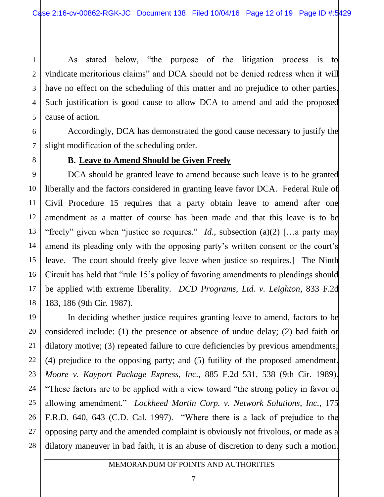As stated below, "the purpose of the litigation process is to vindicate meritorious claims" and DCA should not be denied redress when it will have no effect on the scheduling of this matter and no prejudice to other parties. Such justification is good cause to allow DCA to amend and add the proposed cause of action.

Accordingly, DCA has demonstrated the good cause necessary to justify the slight modification of the scheduling order.

### **B. Leave to Amend Should be Given Freely**

DCA should be granted leave to amend because such leave is to be granted liberally and the factors considered in granting leave favor DCA. Federal Rule of Civil Procedure 15 requires that a party obtain leave to amend after one amendment as a matter of course has been made and that this leave is to be "freely" given when "justice so requires." *Id.*, subsection (a)(2) [...a party may amend its pleading only with the opposing party's written consent or the court's leave. The court should freely give leave when justice so requires.] The Ninth Circuit has held that "rule 15's policy of favoring amendments to pleadings should be applied with extreme liberality. *DCD Programs, Ltd. v. Leighton*, 833 F.2d 183, 186 (9th Cir. 1987).

In deciding whether justice requires granting leave to amend, factors to be considered include: (1) the presence or absence of undue delay; (2) bad faith or dilatory motive; (3) repeated failure to cure deficiencies by previous amendments; (4) prejudice to the opposing party; and (5) futility of the proposed amendment. *Moore v. Kayport Package Express, Inc.,* 885 F.2d 531, 538 (9th Cir. 1989). "These factors are to be applied with a view toward "the strong policy in favor of allowing amendment." *Lockheed Martin Corp. v. Network Solutions, Inc.*, 175 F.R.D. 640, 643 (C.D. Cal. 1997). "Where there is a lack of prejudice to the opposing party and the amended complaint is obviously not frivolous, or made as a dilatory maneuver in bad faith, it is an abuse of discretion to deny such a motion.

1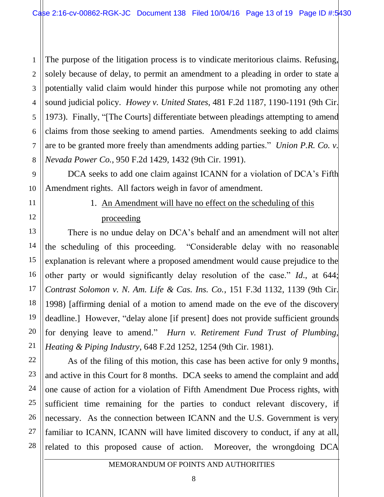1 2 The purpose of the litigation process is to vindicate meritorious claims. Refusing, solely because of delay, to permit an amendment to a pleading in order to state a potentially valid claim would hinder this purpose while not promoting any other sound judicial policy. *Howey v. United States*, 481 F.2d 1187, 1190-1191 (9th Cir. 1973). Finally, "[The Courts] differentiate between pleadings attempting to amend claims from those seeking to amend parties. Amendments seeking to add claims are to be granted more freely than amendments adding parties." *Union P.R. Co. v. Nevada Power Co.*, 950 F.2d 1429, 1432 (9th Cir. 1991).

DCA seeks to add one claim against ICANN for a violation of DCA's Fifth Amendment rights. All factors weigh in favor of amendment.

# 1. An Amendment will have no effect on the scheduling of this proceeding

There is no undue delay on DCA's behalf and an amendment will not alter the scheduling of this proceeding. "Considerable delay with no reasonable explanation is relevant where a proposed amendment would cause prejudice to the other party or would significantly delay resolution of the case." *Id*., at 644; *Contrast Solomon v. N. Am. Life & Cas. Ins. Co.*, 151 F.3d 1132, 1139 (9th Cir. 1998) [affirming denial of a motion to amend made on the eve of the discovery deadline.] However, "delay alone [if present] does not provide sufficient grounds for denying leave to amend." *Hurn v. Retirement Fund Trust of Plumbing, Heating & Piping Industry*, 648 F.2d 1252, 1254 (9th Cir. 1981).

As of the filing of this motion, this case has been active for only 9 months, and active in this Court for 8 months. DCA seeks to amend the complaint and add one cause of action for a violation of Fifth Amendment Due Process rights, with sufficient time remaining for the parties to conduct relevant discovery, if necessary. As the connection between ICANN and the U.S. Government is very familiar to ICANN, ICANN will have limited discovery to conduct, if any at all, related to this proposed cause of action. Moreover, the wrongdoing DCA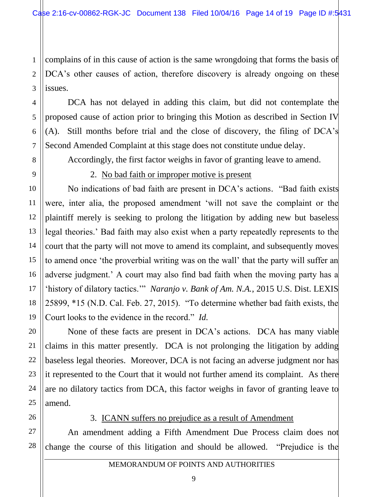1 2 3 complains of in this cause of action is the same wrongdoing that forms the basis of DCA's other causes of action, therefore discovery is already ongoing on these issues.

DCA has not delayed in adding this claim, but did not contemplate the proposed cause of action prior to bringing this Motion as described in Section IV (A). Still months before trial and the close of discovery, the filing of DCA's Second Amended Complaint at this stage does not constitute undue delay.

Accordingly, the first factor weighs in favor of granting leave to amend.

4

5

6

7

8

9

10

11

12

13

14

15

16

17

18

19

20

21

22

23

24

25

26

### 2. No bad faith or improper motive is present

No indications of bad faith are present in DCA's actions. "Bad faith exists were, inter alia, the proposed amendment 'will not save the complaint or the plaintiff merely is seeking to prolong the litigation by adding new but baseless legal theories.' Bad faith may also exist when a party repeatedly represents to the court that the party will not move to amend its complaint, and subsequently moves to amend once 'the proverbial writing was on the wall' that the party will suffer an adverse judgment.' A court may also find bad faith when the moving party has a 'history of dilatory tactics.'" *Naranjo v. Bank of Am. N.A.*, 2015 U.S. Dist. LEXIS 25899, \*15 (N.D. Cal. Feb. 27, 2015). "To determine whether bad faith exists, the Court looks to the evidence in the record." *Id.*

None of these facts are present in DCA's actions. DCA has many viable claims in this matter presently. DCA is not prolonging the litigation by adding baseless legal theories. Moreover, DCA is not facing an adverse judgment nor has it represented to the Court that it would not further amend its complaint. As there are no dilatory tactics from DCA, this factor weighs in favor of granting leave to amend.

### 3. ICANN suffers no prejudice as a result of Amendment

27 28 An amendment adding a Fifth Amendment Due Process claim does not change the course of this litigation and should be allowed. "Prejudice is the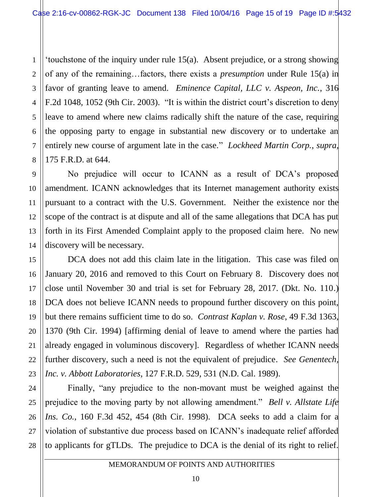1 'touchstone of the inquiry under rule 15(a). Absent prejudice, or a strong showing of any of the remaining…factors, there exists a *presumption* under Rule 15(a) in favor of granting leave to amend. *Eminence Capital, LLC v. Aspeon, Inc.*, 316 F.2d 1048, 1052 (9th Cir. 2003). "It is within the district court's discretion to deny leave to amend where new claims radically shift the nature of the case, requiring the opposing party to engage in substantial new discovery or to undertake an entirely new course of argument late in the case." *Lockheed Martin Corp.*, *supra*, 175 F.R.D. at 644.

No prejudice will occur to ICANN as a result of DCA's proposed amendment. ICANN acknowledges that its Internet management authority exists pursuant to a contract with the U.S. Government. Neither the existence nor the scope of the contract is at dispute and all of the same allegations that DCA has put forth in its First Amended Complaint apply to the proposed claim here. No new discovery will be necessary.

DCA does not add this claim late in the litigation. This case was filed on January 20, 2016 and removed to this Court on February 8. Discovery does not close until November 30 and trial is set for February 28, 2017. (Dkt. No. 110.) DCA does not believe ICANN needs to propound further discovery on this point, but there remains sufficient time to do so. *Contrast Kaplan v. Rose*, 49 F.3d 1363, 1370 (9th Cir. 1994) [affirming denial of leave to amend where the parties had already engaged in voluminous discovery]. Regardless of whether ICANN needs further discovery, such a need is not the equivalent of prejudice. *See Genentech, Inc. v. Abbott Laboratories*, 127 F.R.D. 529, 531 (N.D. Cal. 1989).

Finally, "any prejudice to the non-movant must be weighed against the prejudice to the moving party by not allowing amendment." *Bell v. Allstate Life Ins. Co.*, 160 F.3d 452, 454 (8th Cir. 1998). DCA seeks to add a claim for a violation of substantive due process based on ICANN's inadequate relief afforded to applicants for gTLDs. The prejudice to DCA is the denial of its right to relief.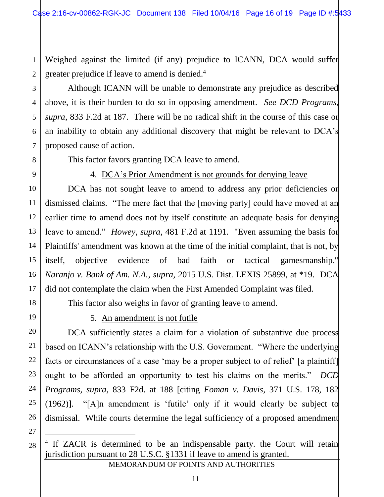Weighed against the limited (if any) prejudice to ICANN, DCA would suffer greater prejudice if leave to amend is denied.<sup>4</sup>

Although ICANN will be unable to demonstrate any prejudice as described above, it is their burden to do so in opposing amendment. *See DCD Programs, supra*, 833 F.2d at 187. There will be no radical shift in the course of this case or an inability to obtain any additional discovery that might be relevant to DCA's proposed cause of action.

This factor favors granting DCA leave to amend.

1

2

3

4

5

6

7

8

9

10

11

12

13

14

15

16

17

18

19

20

21

22

23

24

25

26

## 4. DCA's Prior Amendment is not grounds for denying leave

DCA has not sought leave to amend to address any prior deficiencies or dismissed claims. "The mere fact that the [moving party] could have moved at an earlier time to amend does not by itself constitute an adequate basis for denying leave to amend." *Howey*, *supra*, 481 F.2d at 1191. "Even assuming the basis for Plaintiffs' amendment was known at the time of the initial complaint, that is not, by itself, objective evidence of bad faith or tactical gamesmanship." *Naranjo v. Bank of Am. N.A.*, *supra*, 2015 U.S. Dist. LEXIS 25899, at \*19. DCA did not contemplate the claim when the First Amended Complaint was filed.

This factor also weighs in favor of granting leave to amend.

# 5. An amendment is not futile

DCA sufficiently states a claim for a violation of substantive due process based on ICANN's relationship with the U.S. Government. "Where the underlying facts or circumstances of a case 'may be a proper subject to of relief' [a plaintiff] ought to be afforded an opportunity to test his claims on the merits." *DCD Programs, supra*, 833 F2d. at 188 [citing *Foman v. Davis*, 371 U.S. 178, 182 (1962)]. "[A]n amendment is 'futile' only if it would clearly be subject to dismissal. While courts determine the legal sufficiency of a proposed amendment

27 28

 $\overline{a}$ 

<sup>&</sup>lt;sup>4</sup> If ZACR is determined to be an indispensable party. the Court will retain jurisdiction pursuant to 28 U.S.C. §1331 if leave to amend is granted.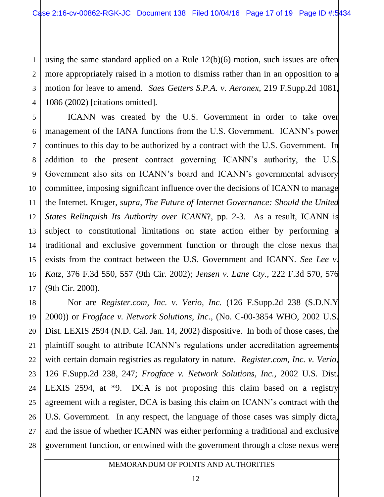1 2 3 4 using the same standard applied on a Rule 12(b)(6) motion, such issues are often more appropriately raised in a motion to dismiss rather than in an opposition to a motion for leave to amend. *Saes Getters S.P.A. v. Aeronex*, 219 F.Supp.2d 1081, 1086 (2002) [citations omitted].

5 6 7 8 9 10 12 13 14 15 16 17 ICANN was created by the U.S. Government in order to take over management of the IANA functions from the U.S. Government. ICANN's power continues to this day to be authorized by a contract with the U.S. Government. In addition to the present contract governing ICANN's authority, the U.S. Government also sits on ICANN's board and ICANN's governmental advisory committee, imposing significant influence over the decisions of ICANN to manage the Internet. Kruger, *supra*, *The Future of Internet Governance: Should the United States Relinquish Its Authority over ICANN*?, pp. 2-3. As a result, ICANN is subject to constitutional limitations on state action either by performing a traditional and exclusive government function or through the close nexus that exists from the contract between the U.S. Government and ICANN. *See Lee v. Katz*, 376 F.3d 550, 557 (9th Cir. 2002); *Jensen v. Lane Cty.*, 222 F.3d 570, 576 (9th Cir. 2000).

11

21

18 19 20 22 23 24 25 26 27 28 Nor are *Register.com, Inc. v. Verio, Inc.* (126 F.Supp.2d 238 (S.D.N.Y 2000)) or *Frogface v. Network Solutions, Inc.*, (No. C-00-3854 WHO, 2002 U.S. Dist. LEXIS 2594 (N.D. Cal. Jan. 14, 2002) dispositive. In both of those cases, the plaintiff sought to attribute ICANN's regulations under accreditation agreements with certain domain registries as regulatory in nature. *Register.com, Inc. v. Verio,*  126 F.Supp.2d 238, 247; *Frogface v. Network Solutions, Inc.*, 2002 U.S. Dist. LEXIS 2594, at \*9. DCA is not proposing this claim based on a registry agreement with a register, DCA is basing this claim on ICANN's contract with the U.S. Government. In any respect, the language of those cases was simply dicta, and the issue of whether ICANN was either performing a traditional and exclusive government function, or entwined with the government through a close nexus were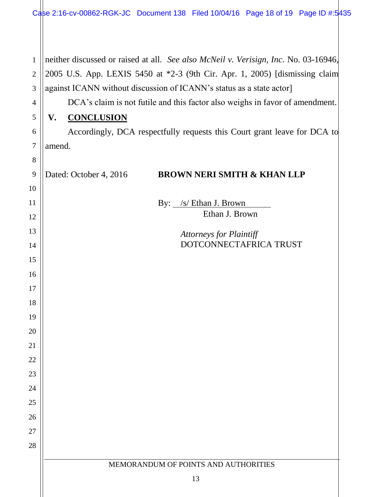|                | Case 2:16-cv-00862-RGK-JC Document 138 Filed 10/04/16 Page 18 of 19 Page ID #:5435  |  |  |  |
|----------------|-------------------------------------------------------------------------------------|--|--|--|
|                |                                                                                     |  |  |  |
| $\mathbf{1}$   | neither discussed or raised at all. See also McNeil v. Verisign, Inc. No. 03-16946, |  |  |  |
| $\overline{2}$ | 2005 U.S. App. LEXIS 5450 at *2-3 (9th Cir. Apr. 1, 2005) [dismissing claim         |  |  |  |
| 3              | against ICANN without discussion of ICANN's status as a state actor]                |  |  |  |
| 4              | DCA's claim is not futile and this factor also weighs in favor of amendment.        |  |  |  |
| 5              | <b>CONCLUSION</b><br>V.                                                             |  |  |  |
| 6              | Accordingly, DCA respectfully requests this Court grant leave for DCA to            |  |  |  |
| $\overline{7}$ | amend.                                                                              |  |  |  |
| 8              |                                                                                     |  |  |  |
| 9              | <b>BROWN NERI SMITH &amp; KHAN LLP</b><br>Dated: October 4, 2016                    |  |  |  |
| 10             |                                                                                     |  |  |  |
| 11             | By: /s/ Ethan J. Brown                                                              |  |  |  |
| 12             | Ethan J. Brown                                                                      |  |  |  |
| 13             | <b>Attorneys for Plaintiff</b>                                                      |  |  |  |
| 14             | DOTCONNECTAFRICA TRUST                                                              |  |  |  |
| 15             |                                                                                     |  |  |  |
| 16             |                                                                                     |  |  |  |
| 17             |                                                                                     |  |  |  |
| 18             |                                                                                     |  |  |  |
| 19             |                                                                                     |  |  |  |
| 20             |                                                                                     |  |  |  |
| 21             |                                                                                     |  |  |  |
| 22             |                                                                                     |  |  |  |
| 23             |                                                                                     |  |  |  |
| 24             |                                                                                     |  |  |  |
| 25             |                                                                                     |  |  |  |
| 26<br>27       |                                                                                     |  |  |  |
| 28             |                                                                                     |  |  |  |
|                |                                                                                     |  |  |  |
|                | MEMORANDUM OF POINTS AND AUTHORITIES                                                |  |  |  |
|                | 13                                                                                  |  |  |  |
|                |                                                                                     |  |  |  |